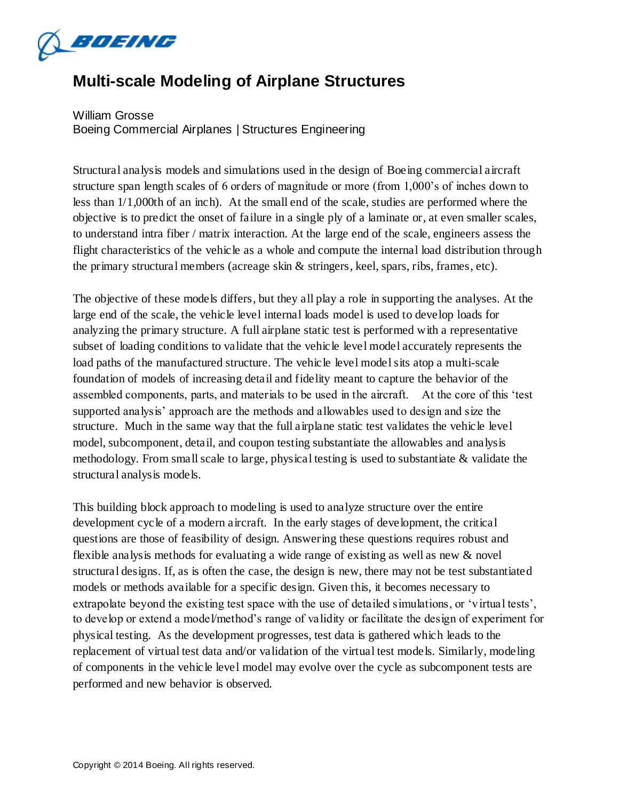

## **Multi-scale Modeling of Airplane Structures**

William Grosse Boeing Commercial Airplanes | Structures Engineering

Structural analysis models and simulations used in the design of Boeing commercial aircraft structure span length scales of 6 orders of magnitude or more (from 1,000's of inches down to less than 1/1,000th of an inch). At the small end of the scale, studies are performed where the objective is to predict the onset of failure in a single ply of a laminate or, at even smaller scales, to understand intra fiber / matrix interaction. At the large end of the scale, engineers assess the flight characteristics of the vehicle as a whole and compute the internal load distribution through the primary structural members (acreage skin & stringers, keel, spars, ribs, frames, etc).

The objective of these models differs, but they all play a role in supporting the analyses. At the large end of the scale, the vehicle level internal loads model is used to develop loads for analyzing the primary structure. A full airplane static test is performed with a representative subset of loading conditions to validate that the vehicle level model accurately represents the load paths of the manufactured structure. The vehicle level model sits atop a multi-scale foundation of models of increasing detail and fidelity meant to capture the behavior of the assembled components, parts, and materials to be used in the aircraft. At the core of this 'test supported analysis' approach are the methods and allowables used to design and size the structure. Much in the same way that the full airplane static test validates the vehicle level model, subcomponent, detail, and coupon testing substantiate the allowables and analysis methodology. From small scale to large, physical testing is used to substantiate & validate the structural analysis models.

This building block approach to modeling is used to analyze structure over the entire development cycle of a modern aircraft. In the early stages of development, the critical questions are those of feasibility of design. Answering these questions requires robust and flexible analysis methods for evaluating a wide range of existing as well as new & novel structural designs. If, as is often the case, the design is new, there may not be test substantiated models or methods available for a specific design. Given this, it becomes necessary to extrapolate beyond the existing test space with the use of detailed simulations, or 'virtual tests', to develop or extend a model/method's range of validity or facilitate the design of experiment for physical testing. As the development progresses, test data is gathered which leads to the replacement of virtual test data and/or validation of the virtual test models. Similarly, modeling of components in the vehicle level model may evolve over the cycle as subcomponent tests are performed and new behavior is observed.